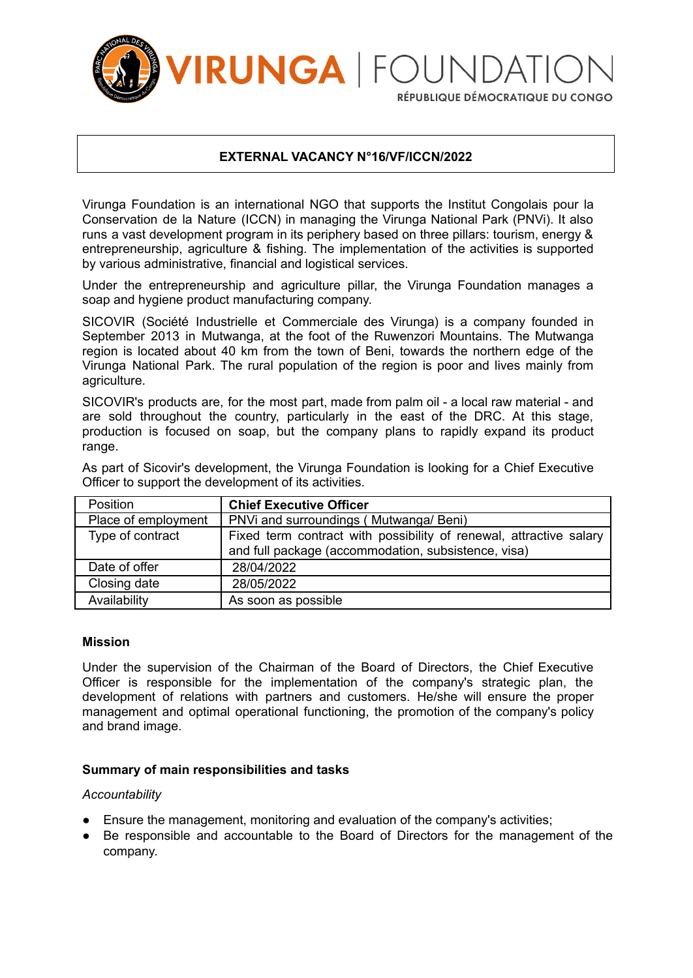

## **EXTERNAL VACANCY N°16/VF/ICCN/2022**

Virunga Foundation is an international NGO that supports the Institut Congolais pour la Conservation de la Nature (ICCN) in managing the Virunga National Park (PNVi). It also runs a vast development program in its periphery based on three pillars: tourism, energy & entrepreneurship, agriculture & fishing. The implementation of the activities is supported by various administrative, financial and logistical services.

Under the entrepreneurship and agriculture pillar, the Virunga Foundation manages a soap and hygiene product manufacturing company.

SICOVIR (Société Industrielle et Commerciale des Virunga) is a company founded in September 2013 in Mutwanga, at the foot of the Ruwenzori Mountains. The Mutwanga region is located about 40 km from the town of Beni, towards the northern edge of the Virunga National Park. The rural population of the region is poor and lives mainly from agriculture.

SICOVIR's products are, for the most part, made from palm oil - a local raw material - and are sold throughout the country, particularly in the east of the DRC. At this stage, production is focused on soap, but the company plans to rapidly expand its product range.

| <b>Position</b>     | <b>Chief Executive Officer</b>                                                                                            |
|---------------------|---------------------------------------------------------------------------------------------------------------------------|
| Place of employment | PNVi and surroundings (Mutwanga/Beni)                                                                                     |
| Type of contract    | Fixed term contract with possibility of renewal, attractive salary<br>and full package (accommodation, subsistence, visa) |
| Date of offer       | 28/04/2022                                                                                                                |
| Closing date        | 28/05/2022                                                                                                                |
| Availability        | As soon as possible                                                                                                       |

As part of Sicovir's development, the Virunga Foundation is looking for a Chief Executive Officer to support the development of its activities.

#### **Mission**

Under the supervision of the Chairman of the Board of Directors, the Chief Executive Officer is responsible for the implementation of the company's strategic plan, the development of relations with partners and customers. He/she will ensure the proper management and optimal operational functioning, the promotion of the company's policy and brand image.

#### **Summary of main responsibilities and tasks**

#### *Accountability*

- Ensure the management, monitoring and evaluation of the company's activities;
- Be responsible and accountable to the Board of Directors for the management of the company.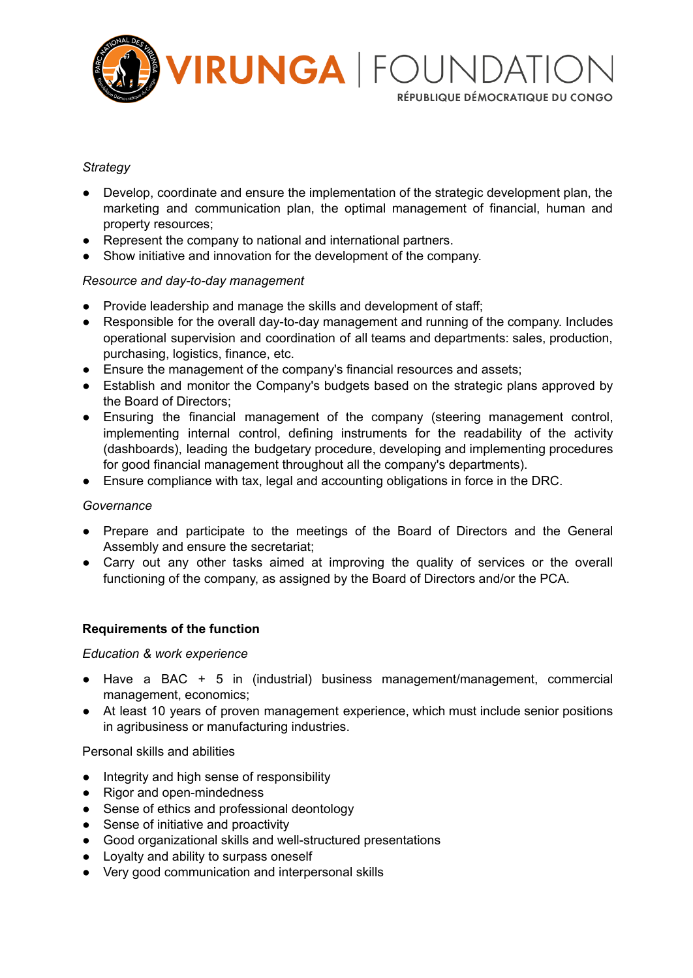

RÉPUBLIQUE DÉMOCRATIQUE DU CONGO

# *Strategy*

- Develop, coordinate and ensure the implementation of the strategic development plan, the marketing and communication plan, the optimal management of financial, human and property resources;
- Represent the company to national and international partners.
- Show initiative and innovation for the development of the company.

### *Resource and day-to-day management*

- Provide leadership and manage the skills and development of staff;
- Responsible for the overall day-to-day management and running of the company. Includes operational supervision and coordination of all teams and departments: sales, production, purchasing, logistics, finance, etc.
- Ensure the management of the company's financial resources and assets;
- Establish and monitor the Company's budgets based on the strategic plans approved by the Board of Directors;
- Ensuring the financial management of the company (steering management control, implementing internal control, defining instruments for the readability of the activity (dashboards), leading the budgetary procedure, developing and implementing procedures for good financial management throughout all the company's departments).
- Ensure compliance with tax, legal and accounting obligations in force in the DRC.

### *Governance*

- Prepare and participate to the meetings of the Board of Directors and the General Assembly and ensure the secretariat;
- Carry out any other tasks aimed at improving the quality of services or the overall functioning of the company, as assigned by the Board of Directors and/or the PCA.

### **Requirements of the function**

### *Education & work experience*

- Have a BAC + 5 in (industrial) business management/management, commercial management, economics;
- At least 10 years of proven management experience, which must include senior positions in agribusiness or manufacturing industries.

Personal skills and abilities

- Integrity and high sense of responsibility
- Rigor and open-mindedness
- Sense of ethics and professional deontology
- Sense of initiative and proactivity
- Good organizational skills and well-structured presentations
- Loyalty and ability to surpass oneself
- Very good communication and interpersonal skills